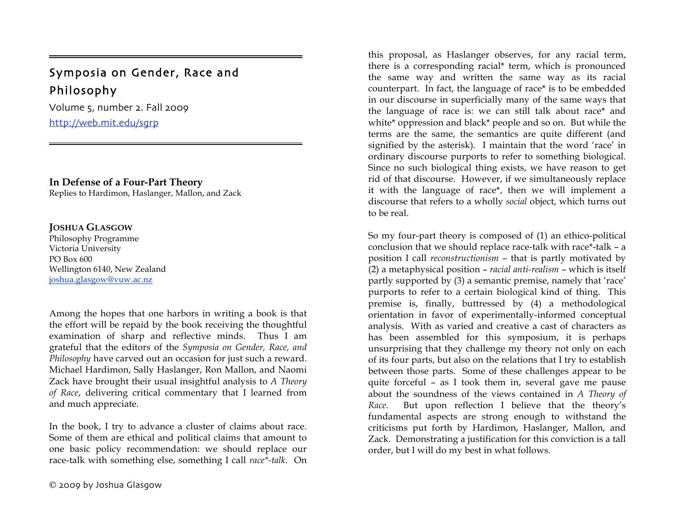# Symposia on Gender, Race and Philosophy

Volume 5, number 2. Fall 2009 http://web.mit.edu/sgrp

# **In Defense of a Four-Part Theory**

Replies to Hardimon, Haslanger, Mallon, and Zack

# **JOSHUA GLASGOW**

=

Philosophy Programme Victoria University PO Box 600 Wellington 6140, New Zealand joshua.glasgow@vuw.ac.nz

Among the hopes that one harbors in writing a book is that the effort will be repaid by the book receiving the thoughtful examination of sharp and reflective minds. Thus I am grateful that the editors of the *Symposia on Gender, Race, and Philosophy* have carved out an occasion for just such a reward. Michael Hardimon, Sally Haslanger, Ron Mallon, and Naomi Zack have brought their usual insightful analysis to *A Theory of Race*, delivering critical commentary that I learned from and much appreciate.

In the book, I try to advance a cluster of claims about race. Some of them are ethical and political claims that amount to one basic policy recommendation: we should replace our race-talk with something else, something I call *race\*-talk*. On

this proposal, as Haslanger observes, for any racial term, there is a corresponding racial\* term, which is pronounced the same way and written the same way as its racial counterpart. In fact, the language of race\* is to be embedded in our discourse in superficially many of the same ways that the language of race is: we can still talk about race\* and white\* oppression and black\* people and so on. But while the terms are the same, the semantics are quite different (and signified by the asterisk). I maintain that the word 'race' in ordinary discourse purports to refer to something biological. Since no such biological thing exists, we have reason to get rid of that discourse. However, if we simultaneously replace it with the language of race\*, then we will implement a discourse that refers to a wholly *social* object, which turns out to be real.

So my four-part theory is composed of (1) an ethico-political conclusion that we should replace race-talk with race\*-talk – a position I call *reconstructionism* – that is partly motivated by (2) a metaphysical position – *racial anti-realism* – which is itself partly supported by (3) a semantic premise, namely that 'race' purports to refer to a certain biological kind of thing. This premise is, finally, buttressed by (4) a methodological orientation in favor of experimentally-informed conceptual analysis. With as varied and creative a cast of characters as has been assembled for this symposium, it is perhaps unsurprising that they challenge my theory not only on each of its four parts, but also on the relations that I try to establish between those parts. Some of these challenges appear to be quite forceful – as I took them in, several gave me pause about the soundness of the views contained in *A Theory of Race*. But upon reflection I believe that the theory's fundamental aspects are strong enough to withstand the criticisms put forth by Hardimon, Haslanger, Mallon, and Zack. Demonstrating a justification for this conviction is a tall order, but I will do my best in what follows.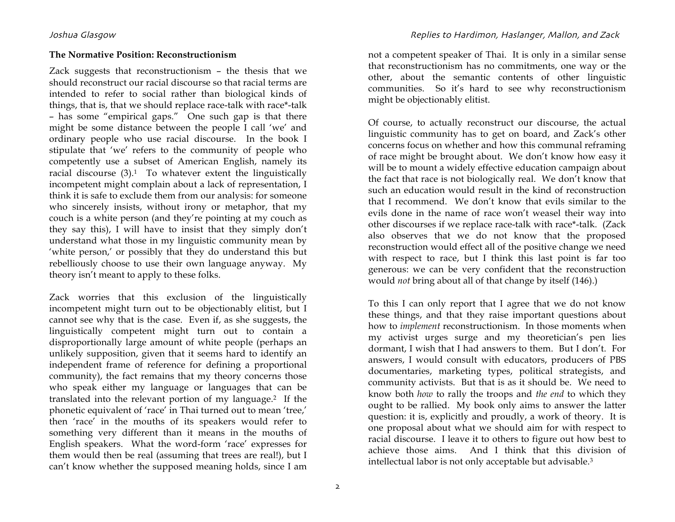### **The Normative Position: Reconstructionism**

Zack suggests that reconstructionism – the thesis that we should reconstruct our racial discourse so that racial terms are intended to refer to social rather than biological kinds of things, that is, that we should replace race-talk with race\*-talk – has some "empirical gaps." One such gap is that there might be some distance between the people I call 'we' and ordinary people who use racial discourse. In the book I stipulate that 'we' refers to the community of people who competently use a subset of American English, namely its racial discourse  $(3)$ .<sup>1</sup> To whatever extent the linguistically incompetent might complain about a lack of representation, I think it is safe to exclude them from our analysis: for someone who sincerely insists, without irony or metaphor, that my couch is a white person (and they're pointing at my couch as they say this), I will have to insist that they simply don't understand what those in my linguistic community mean by 'white person,' or possibly that they do understand this but rebelliously choose to use their own language anyway. My theory isn't meant to apply to these folks.

Zack worries that this exclusion of the linguistically incompetent might turn out to be objectionably elitist, but I cannot see why that is the case. Even if, as she suggests, the linguistically competent might turn out to contain a disproportionally large amount of white people (perhaps an unlikely supposition, given that it seems hard to identify an independent frame of reference for defining a proportional community), the fact remains that my theory concerns those who speak either my language or languages that can be translated into the relevant portion of my language.2 If the phonetic equivalent of 'race' in Thai turned out to mean 'tree,' then 'race' in the mouths of its speakers would refer to something very different than it means in the mouths of English speakers. What the word-form 'race' expresses for them would then be real (assuming that trees are real!), but I can't know whether the supposed meaning holds, since I am

not a competent speaker of Thai. It is only in a similar sense that reconstructionism has no commitments, one way or the other, about the semantic contents of other linguistic communities. So it's hard to see why reconstructionism might be objectionably elitist.

Of course, to actually reconstruct our discourse, the actual linguistic community has to get on board, and Zack's other concerns focus on whether and how this communal reframing of race might be brought about. We don't know how easy it will be to mount a widely effective education campaign about the fact that race is not biologically real. We don't know that such an education would result in the kind of reconstruction that I recommend. We don't know that evils similar to the evils done in the name of race won't weasel their way into other discourses if we replace race-talk with race\*-talk. (Zack also observes that we do not know that the proposed reconstruction would effect all of the positive change we need with respect to race, but I think this last point is far too generous: we can be very confident that the reconstruction would *not* bring about all of that change by itself (146).)

To this I can only report that I agree that we do not know these things, and that they raise important questions about how to *implement* reconstructionism. In those moments when my activist urges surge and my theoretician's pen lies dormant, I wish that I had answers to them. But I don't. For answers, I would consult with educators, producers of PBS documentaries, marketing types, political strategists, and community activists. But that is as it should be. We need to know both *how* to rally the troops and *the end* to which they ought to be rallied. My book only aims to answer the latter question: it is, explicitly and proudly, a work of theory. It is one proposal about what we should aim for with respect to racial discourse. I leave it to others to figure out how best to achieve those aims. And I think that this division of intellectual labor is not only acceptable but advisable.3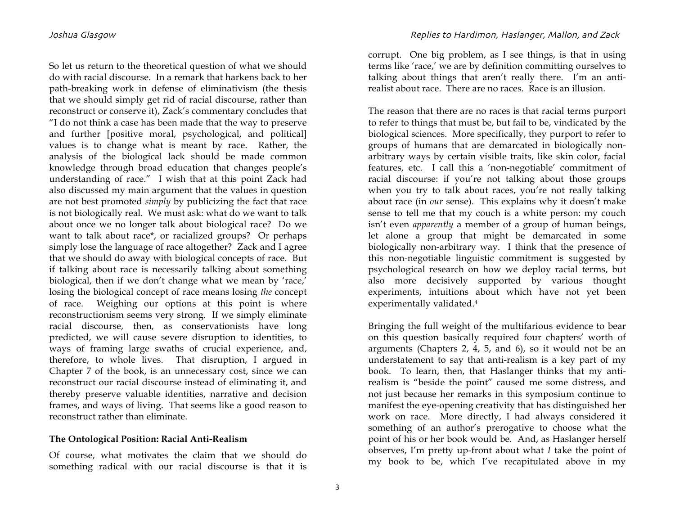So let us return to the theoretical question of what we should do with racial discourse. In a remark that harkens back to her path-breaking work in defense of eliminativism (the thesis that we should simply get rid of racial discourse, rather than reconstruct or conserve it), Zack's commentary concludes that "I do not think a case has been made that the way to preserve and further [positive moral, psychological, and political] values is to change what is meant by race. Rather, the analysis of the biological lack should be made common knowledge through broad education that changes people's understanding of race." I wish that at this point Zack had also discussed my main argument that the values in question are not best promoted *simply* by publicizing the fact that race is not biologically real. We must ask: what do we want to talk about once we no longer talk about biological race? Do we want to talk about race\*, or racialized groups? Or perhaps simply lose the language of race altogether? Zack and I agree that we should do away with biological concepts of race. But if talking about race is necessarily talking about something biological, then if we don't change what we mean by 'race,' losing the biological concept of race means losing *the* concept of race. Weighing our options at this point is where reconstructionism seems very strong. If we simply eliminate racial discourse, then, as conservationists have long predicted, we will cause severe disruption to identities, to ways of framing large swaths of crucial experience, and, therefore, to whole lives. That disruption, I argued in Chapter 7 of the book, is an unnecessary cost, since we can reconstruct our racial discourse instead of eliminating it, and thereby preserve valuable identities, narrative and decision frames, and ways of living. That seems like a good reason to reconstruct rather than eliminate.

### **The Ontological Position: Racial Anti-Realism**

Of course, what motivates the claim that we should do something radical with our racial discourse is that it is corrupt. One big problem, as I see things, is that in using terms like 'race,' we are by definition committing ourselves to talking about things that aren't really there. I'm an antirealist about race. There are no races. Race is an illusion.

The reason that there are no races is that racial terms purport to refer to things that must be, but fail to be, vindicated by the biological sciences. More specifically, they purport to refer to groups of humans that are demarcated in biologically nonarbitrary ways by certain visible traits, like skin color, facial features, etc. I call this a 'non-negotiable' commitment of racial discourse: if you're not talking about those groups when you try to talk about races, you're not really talking about race (in *our* sense). This explains why it doesn't make sense to tell me that my couch is a white person: my couch isn't even *apparently* a member of a group of human beings, let alone a group that might be demarcated in some biologically non-arbitrary way. I think that the presence of this non-negotiable linguistic commitment is suggested by psychological research on how we deploy racial terms, but also more decisively supported by various thought experiments, intuitions about which have not yet been experimentally validated.4

Bringing the full weight of the multifarious evidence to bear on this question basically required four chapters' worth of arguments (Chapters 2, 4, 5, and 6), so it would not be an understatement to say that anti-realism is a key part of my book. To learn, then, that Haslanger thinks that my antirealism is "beside the point" caused me some distress, and not just because her remarks in this symposium continue to manifest the eye-opening creativity that has distinguished her work on race. More directly, I had always considered it something of an author's prerogative to choose what the point of his or her book would be. And, as Haslanger herself observes, I'm pretty up-front about what *I* take the point of my book to be, which I've recapitulated above in my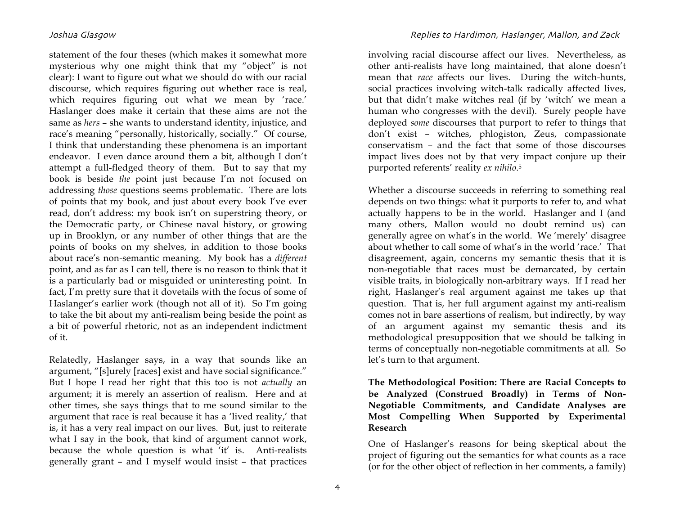statement of the four theses (which makes it somewhat more mysterious why one might think that my "object" is not clear): I want to figure out what we should do with our racial discourse, which requires figuring out whether race is real, which requires figuring out what we mean by 'race.' Haslanger does make it certain that these aims are not the same as *hers* – she wants to understand identity, injustice, and race's meaning "personally, historically, socially." Of course, I think that understanding these phenomena is an important endeavor. I even dance around them a bit, although I don't attempt a full-fledged theory of them. But to say that my book is beside *the* point just because I'm not focused on addressing *those* questions seems problematic. There are lots of points that my book, and just about every book I've ever read, don't address: my book isn't on superstring theory, or the Democratic party, or Chinese naval history, or growing up in Brooklyn, or any number of other things that are the points of books on my shelves, in addition to those books about race's non-semantic meaning. My book has a *different* point, and as far as I can tell, there is no reason to think that it is a particularly bad or misguided or uninteresting point. In fact, I'm pretty sure that it dovetails with the focus of some of Haslanger's earlier work (though not all of it). So I'm going to take the bit about my anti-realism being beside the point as a bit of powerful rhetoric, not as an independent indictment of it.

Relatedly, Haslanger says, in a way that sounds like an argument, "[s]urely [races] exist and have social significance." But I hope I read her right that this too is not *actually* an argument; it is merely an assertion of realism. Here and at other times, she says things that to me sound similar to the argument that race is real because it has a 'lived reality,' that is, it has a very real impact on our lives. But, just to reiterate what I say in the book, that kind of argument cannot work, because the whole question is what 'it' is. Anti-realists generally grant – and I myself would insist – that practices

involving racial discourse affect our lives. Nevertheless, as other anti-realists have long maintained, that alone doesn't mean that *race* affects our lives. During the witch-hunts, social practices involving witch-talk radically affected lives, but that didn't make witches real (if by 'witch' we mean a human who congresses with the devil). Surely people have deployed *some* discourses that purport to refer to things that don't exist – witches, phlogiston, Zeus, compassionate conservatism – and the fact that some of those discourses impact lives does not by that very impact conjure up their purported referents' reality *ex nihilo*.5

Whether a discourse succeeds in referring to something real depends on two things: what it purports to refer to, and what actually happens to be in the world. Haslanger and I (and many others, Mallon would no doubt remind us) can generally agree on what's in the world. We 'merely' disagree about whether to call some of what's in the world 'race.' That disagreement, again, concerns my semantic thesis that it is non-negotiable that races must be demarcated, by certain visible traits, in biologically non-arbitrary ways. If I read her right, Haslanger's real argument against me takes up that question. That is, her full argument against my anti-realism comes not in bare assertions of realism, but indirectly, by way of an argument against my semantic thesis and its methodological presupposition that we should be talking in terms of conceptually non-negotiable commitments at all. So let's turn to that argument.

**The Methodological Position: There are Racial Concepts to be Analyzed (Construed Broadly) in Terms of Non-Negotiable Commitments, and Candidate Analyses are Most Compelling When Supported by Experimental Research**

One of Haslanger's reasons for being skeptical about the project of figuring out the semantics for what counts as a race (or for the other object of reflection in her comments, a family)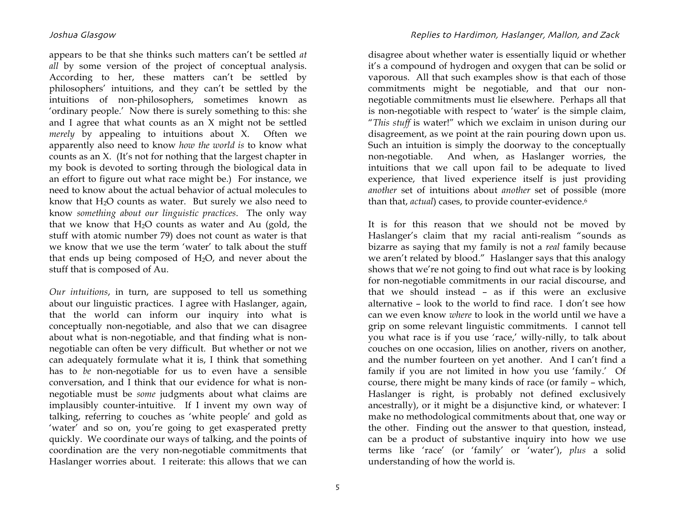appears to be that she thinks such matters can't be settled *at all* by some version of the project of conceptual analysis. According to her, these matters can't be settled by philosophers' intuitions, and they can't be settled by the intuitions of non-philosophers, sometimes known as 'ordinary people.' Now there is surely something to this: she and I agree that what counts as an X might not be settled *merely* by appealing to intuitions about X. Often we apparently also need to know *how the world is* to know what counts as an X. (It's not for nothing that the largest chapter in my book is devoted to sorting through the biological data in an effort to figure out what race might be.) For instance, we need to know about the actual behavior of actual molecules to know that H2O counts as water. But surely we also need to know *something about our linguistic practices*. The only way that we know that  $H_2O$  counts as water and Au (gold, the stuff with atomic number 79) does not count as water is that we know that we use the term 'water' to talk about the stuff that ends up being composed of  $H<sub>2</sub>O$ , and never about the stuff that is composed of Au.

*Our intuitions*, in turn, are supposed to tell us something about our linguistic practices. I agree with Haslanger, again, that the world can inform our inquiry into what is conceptually non-negotiable, and also that we can disagree about what is non-negotiable, and that finding what is nonnegotiable can often be very difficult. But whether or not we can adequately formulate what it is, I think that something has to *be* non-negotiable for us to even have a sensible conversation, and I think that our evidence for what is nonnegotiable must be *some* judgments about what claims are implausibly counter-intuitive. If I invent my own way of talking, referring to couches as 'white people' and gold as 'water' and so on, you're going to get exasperated pretty quickly. We coordinate our ways of talking, and the points of coordination are the very non-negotiable commitments that Haslanger worries about. I reiterate: this allows that we can

# Joshua GlasgowReplies to Hardimon, Haslanger, Mallon, and Zack

disagree about whether water is essentially liquid or whether it's a compound of hydrogen and oxygen that can be solid or vaporous. All that such examples show is that each of those commitments might be negotiable, and that our nonnegotiable commitments must lie elsewhere. Perhaps all that is non-negotiable with respect to 'water' is the simple claim, "*This stuff* is water!" which we exclaim in unison during our disagreement, as we point at the rain pouring down upon us. Such an intuition is simply the doorway to the conceptually non-negotiable. And when, as Haslanger worries, the intuitions that we call upon fail to be adequate to lived experience, that lived experience itself is just providing *another* set of intuitions about *another* set of possible (more than that, *actual*) cases, to provide counter-evidence.6

It is for this reason that we should not be moved by Haslanger's claim that my racial anti-realism "sounds as bizarre as saying that my family is not a *real* family because we aren't related by blood." Haslanger says that this analogy shows that we're not going to find out what race is by looking for non-negotiable commitments in our racial discourse, and that we should instead – as if this were an exclusive alternative – look to the world to find race. I don't see how can we even know *where* to look in the world until we have a grip on some relevant linguistic commitments. I cannot tell you what race is if you use 'race,' willy-nilly, to talk about couches on one occasion, lilies on another, rivers on another, and the number fourteen on yet another. And I can't find a family if you are not limited in how you use 'family.' Of course, there might be many kinds of race (or family – which, Haslanger is right, is probably not defined exclusively ancestrally), or it might be a disjunctive kind, or whatever: I make no methodological commitments about that, one way or the other. Finding out the answer to that question, instead, can be a product of substantive inquiry into how we use terms like 'race' (or 'family' or 'water'), *plus* a solid understanding of how the world is.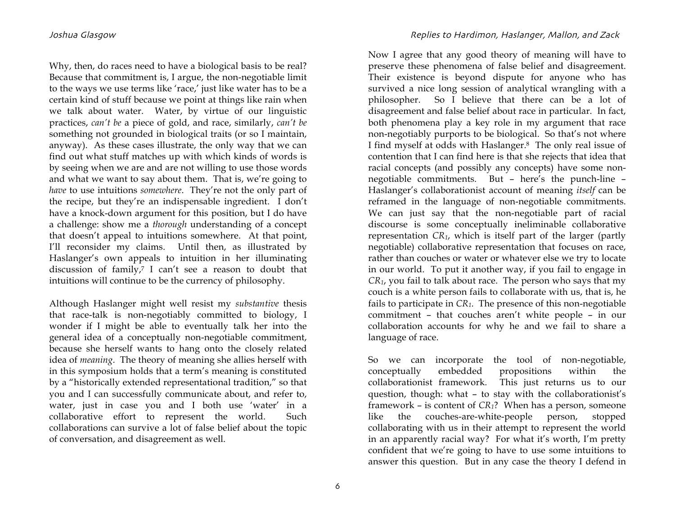Why, then, do races need to have a biological basis to be real? Because that commitment is, I argue, the non-negotiable limit to the ways we use terms like 'race,' just like water has to be a certain kind of stuff because we point at things like rain when we talk about water. Water, by virtue of our linguistic practices, *can't be* a piece of gold, and race, similarly, *can't be*  something not grounded in biological traits (or so I maintain, anyway). As these cases illustrate, the only way that we can find out what stuff matches up with which kinds of words is by seeing when we are and are not willing to use those words and what we want to say about them. That is, we're going to *have* to use intuitions *somewhere*. They're not the only part of the recipe, but they're an indispensable ingredient. I don't have a knock-down argument for this position, but I do have a challenge: show me a *thorough* understanding of a concept that doesn't appeal to intuitions somewhere. At that point, I'll reconsider my claims. Until then, as illustrated by Haslanger's own appeals to intuition in her illuminating discussion of family,7 I can't see a reason to doubt that intuitions will continue to be the currency of philosophy.

Although Haslanger might well resist my *substantive* thesis that race-talk is non-negotiably committed to biology, I wonder if I might be able to eventually talk her into the general idea of a conceptually non-negotiable commitment, because she herself wants to hang onto the closely related idea of *meaning*. The theory of meaning she allies herself with in this symposium holds that a term's meaning is constituted by a "historically extended representational tradition," so that you and I can successfully communicate about, and refer to, water, just in case you and I both use 'water' in a collaborative effort to represent the world. Such collaborations can survive a lot of false belief about the topic of conversation, and disagreement as well.

Now I agree that any good theory of meaning will have to preserve these phenomena of false belief and disagreement. Their existence is beyond dispute for anyone who has survived a nice long session of analytical wrangling with a philosopher. So I believe that there can be a lot of disagreement and false belief about race in particular. In fact, both phenomena play a key role in my argument that race non-negotiably purports to be biological. So that's not where I find myself at odds with Haslanger.8 The only real issue of contention that I can find here is that she rejects that idea that racial concepts (and possibly any concepts) have some nonnegotiable commitments. But – here's the punch-line – Haslanger's collaborationist account of meaning *itself* can be reframed in the language of non-negotiable commitments. We can just say that the non-negotiable part of racial discourse is some conceptually ineliminable collaborative representation *CR1*, which is itself part of the larger (partly negotiable) collaborative representation that focuses on race, rather than couches or water or whatever else we try to locate in our world. To put it another way, if you fail to engage in *CR1*, you fail to talk about race. The person who says that my couch is a white person fails to collaborate with us, that is, he fails to participate in *CR1*. The presence of this non-negotiable commitment – that couches aren't white people – in our collaboration accounts for why he and we fail to share a language of race.

So we can incorporate the tool of non-negotiable, conceptually embedded propositions within the collaborationist framework. This just returns us to our question, though: what – to stay with the collaborationist's framework – is content of *CR1*? When has a person, someone like the couches-are-white-people person, stopped collaborating with us in their attempt to represent the world in an apparently racial way? For what it's worth, I'm pretty confident that we're going to have to use some intuitions to answer this question. But in any case the theory I defend in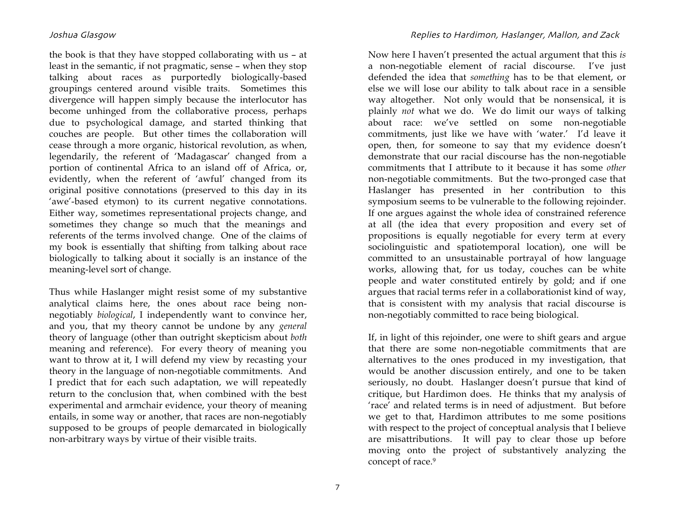the book is that they have stopped collaborating with us – at least in the semantic, if not pragmatic, sense – when they stop talking about races as purportedly biologically-based groupings centered around visible traits. Sometimes this divergence will happen simply because the interlocutor has become unhinged from the collaborative process, perhaps due to psychological damage, and started thinking that couches are people. But other times the collaboration will cease through a more organic, historical revolution, as when, legendarily, the referent of 'Madagascar' changed from a portion of continental Africa to an island off of Africa, or, evidently, when the referent of 'awful' changed from its original positive connotations (preserved to this day in its 'awe'-based etymon) to its current negative connotations. Either way, sometimes representational projects change, and sometimes they change so much that the meanings and referents of the terms involved change. One of the claims of my book is essentially that shifting from talking about race biologically to talking about it socially is an instance of the meaning-level sort of change.

Thus while Haslanger might resist some of my substantive analytical claims here, the ones about race being nonnegotiably *biological*, I independently want to convince her, and you, that my theory cannot be undone by any *general*  theory of language (other than outright skepticism about *both*  meaning and reference). For every theory of meaning you want to throw at it, I will defend my view by recasting your theory in the language of non-negotiable commitments. And I predict that for each such adaptation, we will repeatedly return to the conclusion that, when combined with the best experimental and armchair evidence, your theory of meaning entails, in some way or another, that races are non-negotiably supposed to be groups of people demarcated in biologically non-arbitrary ways by virtue of their visible traits.

Now here I haven't presented the actual argument that this *is* a non-negotiable element of racial discourse. I've just defended the idea that *something* has to be that element, or else we will lose our ability to talk about race in a sensible way altogether. Not only would that be nonsensical, it is plainly *not* what we do. We do limit our ways of talking about race: we've settled on some non-negotiable commitments, just like we have with 'water.' I'd leave it open, then, for someone to say that my evidence doesn't demonstrate that our racial discourse has the non-negotiable commitments that I attribute to it because it has some *other*  non-negotiable commitments. But the two-pronged case that Haslanger has presented in her contribution to this symposium seems to be vulnerable to the following rejoinder. If one argues against the whole idea of constrained reference at all (the idea that every proposition and every set of propositions is equally negotiable for every term at every sociolinguistic and spatiotemporal location), one will be committed to an unsustainable portrayal of how language works, allowing that, for us today, couches can be white people and water constituted entirely by gold; and if one argues that racial terms refer in a collaborationist kind of way, that is consistent with my analysis that racial discourse is non-negotiably committed to race being biological.

If, in light of this rejoinder, one were to shift gears and argue that there are some non-negotiable commitments that are alternatives to the ones produced in my investigation, that would be another discussion entirely, and one to be taken seriously, no doubt. Haslanger doesn't pursue that kind of critique, but Hardimon does. He thinks that my analysis of 'race' and related terms is in need of adjustment. But before we get to that, Hardimon attributes to me some positions with respect to the project of conceptual analysis that I believe are misattributions. It will pay to clear those up before moving onto the project of substantively analyzing the concept of race.9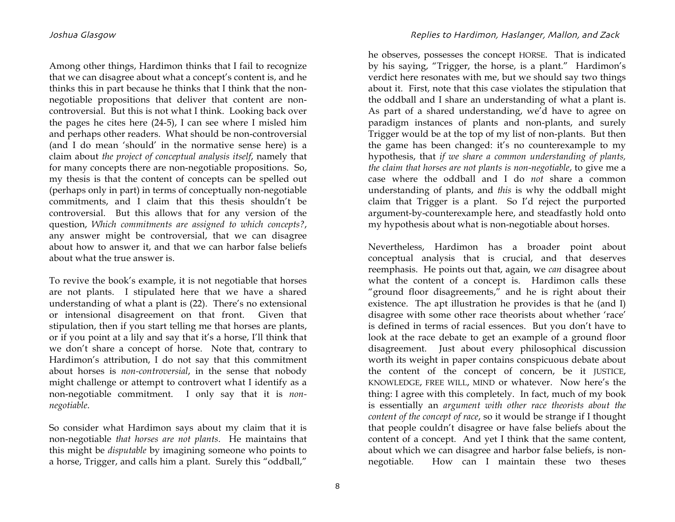Among other things, Hardimon thinks that I fail to recognize that we can disagree about what a concept's content is, and he thinks this in part because he thinks that I think that the nonnegotiable propositions that deliver that content are noncontroversial. But this is not what I think. Looking back over the pages he cites here (24-5), I can see where I misled him and perhaps other readers. What should be non-controversial (and I do mean 'should' in the normative sense here) is a claim about *the project of conceptual analysis itself*, namely that for many concepts there are non-negotiable propositions. So, my thesis is that the content of concepts can be spelled out (perhaps only in part) in terms of conceptually non-negotiable commitments, and I claim that this thesis shouldn't be controversial. But this allows that for any version of the question, *Which commitments are assigned to which concepts?*, any answer might be controversial, that we can disagree about how to answer it, and that we can harbor false beliefs about what the true answer is.

To revive the book's example, it is not negotiable that horses are not plants. I stipulated here that we have a shared understanding of what a plant is (22). There's no extensional or intensional disagreement on that front. Given that stipulation, then if you start telling me that horses are plants, or if you point at a lily and say that it's a horse, I'll think that we don't share a concept of horse. Note that, contrary to Hardimon's attribution, I do not say that this commitment about horses is *non-controversial*, in the sense that nobody might challenge or attempt to controvert what I identify as a non-negotiable commitment. I only say that it is *nonnegotiable*.

So consider what Hardimon says about my claim that it is non-negotiable *that horses are not plants*. He maintains that this might be *disputable* by imagining someone who points to a horse, Trigger, and calls him a plant. Surely this "oddball,"

he observes, possesses the concept HORSE. That is indicated by his saying, "Trigger, the horse, is a plant." Hardimon's verdict here resonates with me, but we should say two things about it. First, note that this case violates the stipulation that the oddball and I share an understanding of what a plant is. As part of a shared understanding, we'd have to agree on paradigm instances of plants and non-plants, and surely Trigger would be at the top of my list of non-plants. But then the game has been changed: it's no counterexample to my hypothesis, that *if we share a common understanding of plants, the claim that horses are not plants is non-negotiable*, to give me a case where the oddball and I do *not* share a common understanding of plants, and *this* is why the oddball might claim that Trigger is a plant. So I'd reject the purported argument-by-counterexample here, and steadfastly hold onto my hypothesis about what is non-negotiable about horses.

Nevertheless, Hardimon has a broader point about conceptual analysis that is crucial, and that deserves reemphasis. He points out that, again, we *can* disagree about what the content of a concept is. Hardimon calls these "ground floor disagreements," and he is right about their existence. The apt illustration he provides is that he (and I) disagree with some other race theorists about whether 'race' is defined in terms of racial essences. But you don't have to look at the race debate to get an example of a ground floor disagreement. Just about every philosophical discussion worth its weight in paper contains conspicuous debate about the content of the concept of concern, be it JUSTICE, KNOWLEDGE, FREE WILL, MIND or whatever. Now here's the thing: I agree with this completely. In fact, much of my book is essentially an *argument with other race theorists about the content of the concept of race*, so it would be strange if I thought that people couldn't disagree or have false beliefs about the content of a concept. And yet I think that the same content, about which we can disagree and harbor false beliefs, is nonnegotiable. How can I maintain these two theses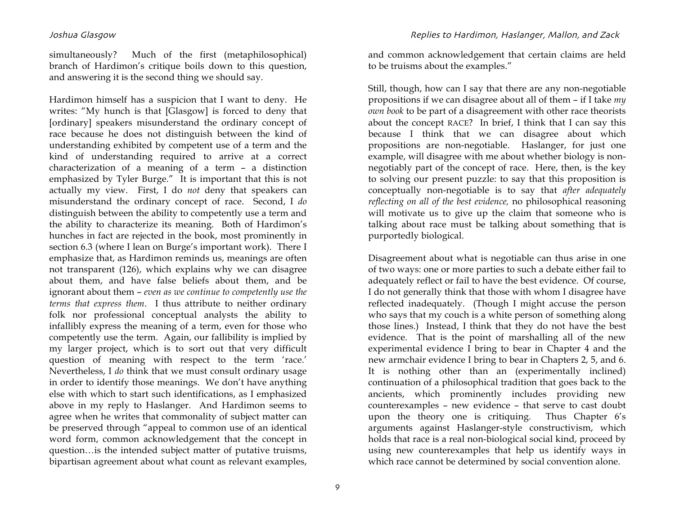simultaneously? Much of the first (metaphilosophical) branch of Hardimon's critique boils down to this question, and answering it is the second thing we should say.

Hardimon himself has a suspicion that I want to deny. He writes: "My hunch is that [Glasgow] is forced to deny that [ordinary] speakers misunderstand the ordinary concept of race because he does not distinguish between the kind of understanding exhibited by competent use of a term and the kind of understanding required to arrive at a correct characterization of a meaning of a term – a distinction emphasized by Tyler Burge." It is important that this is not actually my view. First, I do *not* deny that speakers can misunderstand the ordinary concept of race. Second, I *do* distinguish between the ability to competently use a term and the ability to characterize its meaning. Both of Hardimon's hunches in fact are rejected in the book, most prominently in section 6.3 (where I lean on Burge's important work). There I emphasize that, as Hardimon reminds us, meanings are often not transparent (126), which explains why we can disagree about them, and have false beliefs about them, and be ignorant about them – *even as we continue to competently use the terms that express them*. I thus attribute to neither ordinary folk nor professional conceptual analysts the ability to infallibly express the meaning of a term, even for those who competently use the term. Again, our fallibility is implied by my larger project, which is to sort out that very difficult question of meaning with respect to the term 'race.' Nevertheless, I *do* think that we must consult ordinary usage in order to identify those meanings. We don't have anything else with which to start such identifications, as I emphasized above in my reply to Haslanger. And Hardimon seems to agree when he writes that commonality of subject matter can be preserved through "appeal to common use of an identical word form, common acknowledgement that the concept in question…is the intended subject matter of putative truisms, bipartisan agreement about what count as relevant examples,

Joshua GlasgowReplies to Hardimon, Haslanger, Mallon, and Zack

and common acknowledgement that certain claims are held to be truisms about the examples."

Still, though, how can I say that there are any non-negotiable propositions if we can disagree about all of them – if I take *my own book* to be part of a disagreement with other race theorists about the concept RACE? In brief, I think that I can say this because I think that we can disagree about which propositions are non-negotiable. Haslanger, for just one example, will disagree with me about whether biology is nonnegotiably part of the concept of race. Here, then, is the key to solving our present puzzle: to say that this proposition is conceptually non-negotiable is to say that *after adequately reflecting on all of the best evidence,* no philosophical reasoning will motivate us to give up the claim that someone who is talking about race must be talking about something that is purportedly biological.

Disagreement about what is negotiable can thus arise in one of two ways: one or more parties to such a debate either fail to adequately reflect or fail to have the best evidence. Of course, I do not generally think that those with whom I disagree have reflected inadequately. (Though I might accuse the person who says that my couch is a white person of something along those lines.) Instead, I think that they do not have the best evidence. That is the point of marshalling all of the new experimental evidence I bring to bear in Chapter 4 and the new armchair evidence I bring to bear in Chapters 2, 5, and 6. It is nothing other than an (experimentally inclined) continuation of a philosophical tradition that goes back to the ancients, which prominently includes providing new counterexamples – new evidence – that serve to cast doubt upon the theory one is critiquing. Thus Chapter 6's arguments against Haslanger-style constructivism, which holds that race is a real non-biological social kind, proceed by using new counterexamples that help us identify ways in which race cannot be determined by social convention alone.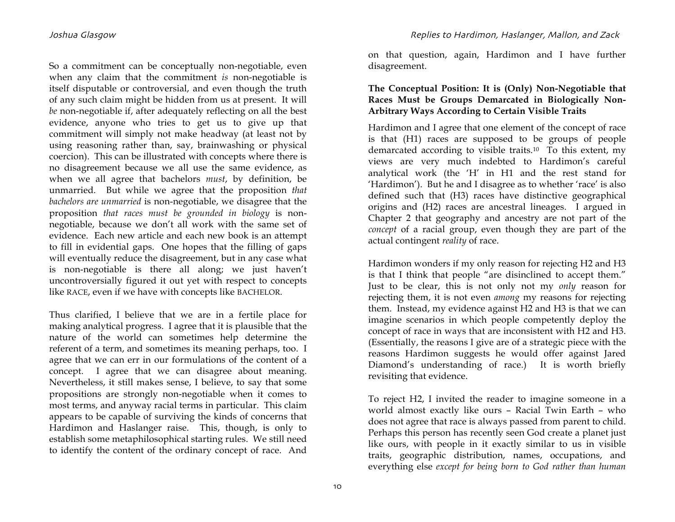So a commitment can be conceptually non-negotiable, even when any claim that the commitment *is* non-negotiable is itself disputable or controversial, and even though the truth of any such claim might be hidden from us at present. It will *be* non-negotiable if, after adequately reflecting on all the best evidence, anyone who tries to get us to give up that commitment will simply not make headway (at least not by using reasoning rather than, say, brainwashing or physical coercion). This can be illustrated with concepts where there is no disagreement because we all use the same evidence, as when we all agree that bachelors *must*, by definition, be unmarried. But while we agree that the proposition *that bachelors are unmarried* is non-negotiable, we disagree that the proposition *that races must be grounded in biology* is nonnegotiable, because we don't all work with the same set of evidence. Each new article and each new book is an attempt to fill in evidential gaps. One hopes that the filling of gaps will eventually reduce the disagreement, but in any case what is non-negotiable is there all along; we just haven't uncontroversially figured it out yet with respect to concepts like RACE, even if we have with concepts like BACHELOR.

Thus clarified, I believe that we are in a fertile place for making analytical progress. I agree that it is plausible that the nature of the world can sometimes help determine the referent of a term, and sometimes its meaning perhaps, too. I agree that we can err in our formulations of the content of a concept. I agree that we can disagree about meaning. Nevertheless, it still makes sense, I believe, to say that some propositions are strongly non-negotiable when it comes to most terms, and anyway racial terms in particular. This claim appears to be capable of surviving the kinds of concerns that Hardimon and Haslanger raise. This, though, is only to establish some metaphilosophical starting rules. We still need to identify the content of the ordinary concept of race. And

on that question, again, Hardimon and I have further disagreement.

# **The Conceptual Position: It is (Only) Non-Negotiable that Races Must be Groups Demarcated in Biologically Non-Arbitrary Ways According to Certain Visible Traits**

Hardimon and I agree that one element of the concept of race is that (H1) races are supposed to be groups of people demarcated according to visible traits.10 To this extent, my views are very much indebted to Hardimon's careful analytical work (the 'H' in H1 and the rest stand for 'Hardimon'). But he and I disagree as to whether 'race' is also defined such that (H3) races have distinctive geographical origins and (H2) races are ancestral lineages. I argued in Chapter 2 that geography and ancestry are not part of the *concept* of a racial group, even though they are part of the actual contingent *reality* of race.

Hardimon wonders if my only reason for rejecting H2 and H3 is that I think that people "are disinclined to accept them." Just to be clear, this is not only not my *only* reason for rejecting them, it is not even *among* my reasons for rejecting them. Instead, my evidence against H2 and H3 is that we can imagine scenarios in which people competently deploy the concept of race in ways that are inconsistent with H2 and H3. (Essentially, the reasons I give are of a strategic piece with the reasons Hardimon suggests he would offer against Jared Diamond's understanding of race.) It is worth briefly revisiting that evidence.

To reject H2, I invited the reader to imagine someone in a world almost exactly like ours – Racial Twin Earth – who does not agree that race is always passed from parent to child. Perhaps this person has recently seen God create a planet just like ours, with people in it exactly similar to us in visible traits, geographic distribution, names, occupations, and everything else *except for being born to God rather than human*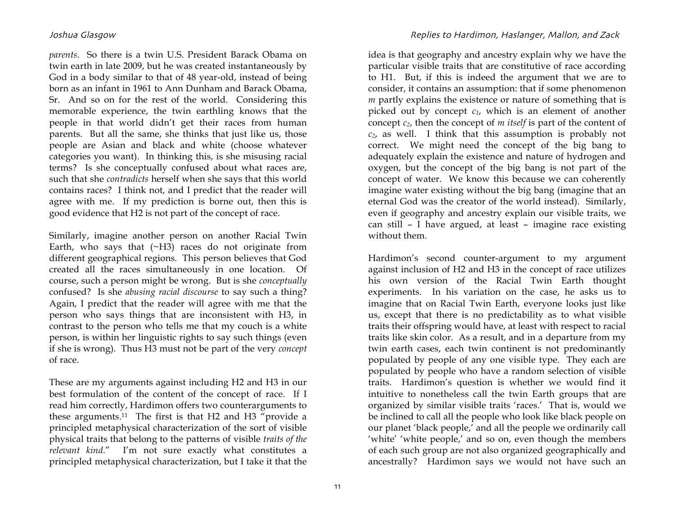*parents*. So there is a twin U.S. President Barack Obama on twin earth in late 2009, but he was created instantaneously by God in a body similar to that of 48 year-old, instead of being born as an infant in 1961 to Ann Dunham and Barack Obama, Sr. And so on for the rest of the world. Considering this memorable experience, the twin earthling knows that the people in that world didn't get their races from human parents. But all the same, she thinks that just like us, those people are Asian and black and white (choose whatever categories you want). In thinking this, is she misusing racial terms? Is she conceptually confused about what races are, such that she *contradicts* herself when she says that this world contains races? I think not, and I predict that the reader will agree with me. If my prediction is borne out, then this is good evidence that H2 is not part of the concept of race.

Similarly, imagine another person on another Racial Twin Earth, who says that  $(\sim H3)$  races do not originate from different geographical regions. This person believes that God created all the races simultaneously in one location. Of course, such a person might be wrong. But is she *conceptually* confused? Is she *abusing racial discourse* to say such a thing? Again, I predict that the reader will agree with me that the person who says things that are inconsistent with H3, in contrast to the person who tells me that my couch is a white person, is within her linguistic rights to say such things (even if she is wrong). Thus H3 must not be part of the very *concept* of race.

These are my arguments against including H2 and H3 in our best formulation of the content of the concept of race. If I read him correctly, Hardimon offers two counterarguments to these arguments.11 The first is that H2 and H3 "provide a principled metaphysical characterization of the sort of visible physical traits that belong to the patterns of visible *traits of the relevant kind*." I'm not sure exactly what constitutes a principled metaphysical characterization, but I take it that the

11

### Joshua GlasgowReplies to Hardimon, Haslanger, Mallon, and Zack

idea is that geography and ancestry explain why we have the particular visible traits that are constitutive of race according to H1. But, if this is indeed the argument that we are to consider, it contains an assumption: that if some phenomenon *m* partly explains the existence or nature of something that is picked out by concept *c1*, which is an element of another concept *c2*, then the concept of *m itself* is part of the content of *c2*, as well. I think that this assumption is probably not correct. We might need the concept of the big bang to adequately explain the existence and nature of hydrogen and oxygen, but the concept of the big bang is not part of the concept of water. We know this because we can coherently imagine water existing without the big bang (imagine that an eternal God was the creator of the world instead). Similarly, even if geography and ancestry explain our visible traits, we can still – I have argued, at least – imagine race existing without them.

Hardimon's second counter-argument to my argument against inclusion of H2 and H3 in the concept of race utilizes his own version of the Racial Twin Earth thought experiments. In his variation on the case, he asks us to imagine that on Racial Twin Earth, everyone looks just like us, except that there is no predictability as to what visible traits their offspring would have, at least with respect to racial traits like skin color. As a result, and in a departure from my twin earth cases, each twin continent is not predominantly populated by people of any one visible type. They each are populated by people who have a random selection of visible traits. Hardimon's question is whether we would find it intuitive to nonetheless call the twin Earth groups that are organized by similar visible traits 'races.' That is, would we be inclined to call all the people who look like black people on our planet 'black people,' and all the people we ordinarily call 'white' 'white people,' and so on, even though the members of each such group are not also organized geographically and ancestrally? Hardimon says we would not have such an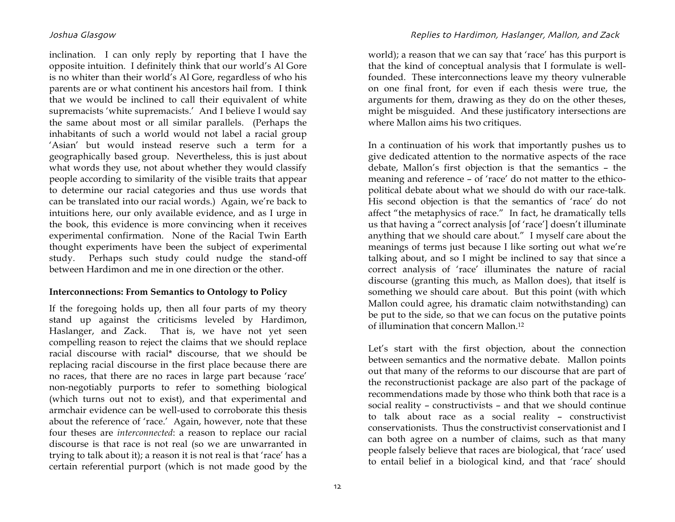inclination. I can only reply by reporting that I have the opposite intuition. I definitely think that our world's Al Gore is no whiter than their world's Al Gore, regardless of who his parents are or what continent his ancestors hail from. I think that we would be inclined to call their equivalent of white supremacists 'white supremacists.' And I believe I would say the same about most or all similar parallels. (Perhaps the inhabitants of such a world would not label a racial group 'Asian' but would instead reserve such a term for a geographically based group. Nevertheless, this is just about what words they use, not about whether they would classify people according to similarity of the visible traits that appear to determine our racial categories and thus use words that can be translated into our racial words.) Again, we're back to intuitions here, our only available evidence, and as I urge in the book, this evidence is more convincing when it receives experimental confirmation. None of the Racial Twin Earth thought experiments have been the subject of experimental study. Perhaps such study could nudge the stand-off between Hardimon and me in one direction or the other.

# **Interconnections: From Semantics to Ontology to Policy**

If the foregoing holds up, then all four parts of my theory stand up against the criticisms leveled by Hardimon, Haslanger, and Zack. That is, we have not yet seen compelling reason to reject the claims that we should replace racial discourse with racial\* discourse, that we should be replacing racial discourse in the first place because there are no races, that there are no races in large part because 'race' non-negotiably purports to refer to something biological (which turns out not to exist), and that experimental and armchair evidence can be well-used to corroborate this thesis about the reference of 'race.' Again, however, note that these four theses are *interconnected*: a reason to replace our racial discourse is that race is not real (so we are unwarranted in trying to talk about it); a reason it is not real is that 'race' has a certain referential purport (which is not made good by the

### Joshua GlasgowReplies to Hardimon, Haslanger, Mallon, and Zack

world); a reason that we can say that 'race' has this purport is that the kind of conceptual analysis that I formulate is wellfounded. These interconnections leave my theory vulnerable on one final front, for even if each thesis were true, the arguments for them, drawing as they do on the other theses, might be misguided. And these justificatory intersections are where Mallon aims his two critiques.

In a continuation of his work that importantly pushes us to give dedicated attention to the normative aspects of the race debate, Mallon's first objection is that the semantics – the meaning and reference – of 'race' do not matter to the ethicopolitical debate about what we should do with our race-talk. His second objection is that the semantics of 'race' do not affect "the metaphysics of race." In fact, he dramatically tells us that having a "correct analysis [of 'race'] doesn't illuminate anything that we should care about." I myself care about the meanings of terms just because I like sorting out what we're talking about, and so I might be inclined to say that since a correct analysis of 'race' illuminates the nature of racial discourse (granting this much, as Mallon does), that itself is something we should care about. But this point (with which Mallon could agree, his dramatic claim notwithstanding) can be put to the side, so that we can focus on the putative points of illumination that concern Mallon.12

Let's start with the first objection, about the connection between semantics and the normative debate. Mallon points out that many of the reforms to our discourse that are part of the reconstructionist package are also part of the package of recommendations made by those who think both that race is a social reality – constructivists – and that we should continue to talk about race as a social reality – constructivist conservationists. Thus the constructivist conservationist and I can both agree on a number of claims, such as that many people falsely believe that races are biological, that 'race' used to entail belief in a biological kind, and that 'race' should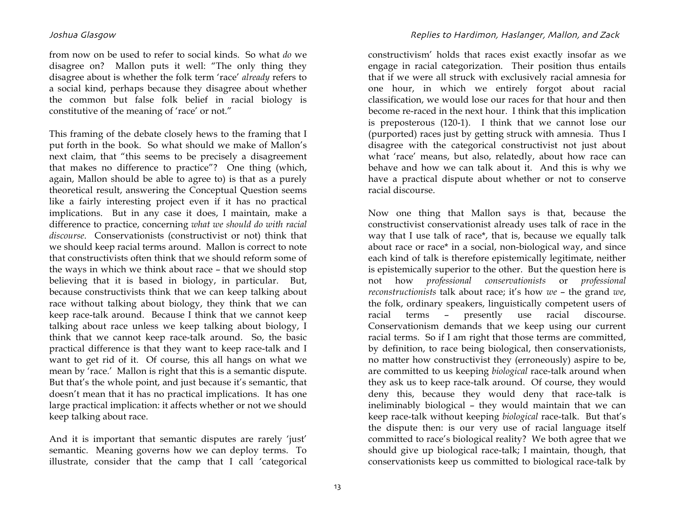from now on be used to refer to social kinds. So what *do* we disagree on? Mallon puts it well: "The only thing they disagree about is whether the folk term 'race' *already* refers to a social kind, perhaps because they disagree about whether the common but false folk belief in racial biology is constitutive of the meaning of 'race' or not."

This framing of the debate closely hews to the framing that I put forth in the book. So what should we make of Mallon's next claim, that "this seems to be precisely a disagreement that makes no difference to practice"? One thing (which, again, Mallon should be able to agree to) is that as a purely theoretical result, answering the Conceptual Question seems like a fairly interesting project even if it has no practical implications. But in any case it does, I maintain, make a difference to practice, concerning *what we should do with racial discourse*. Conservationists (constructivist or not) think that we should keep racial terms around. Mallon is correct to note that constructivists often think that we should reform some of the ways in which we think about race – that we should stop believing that it is based in biology, in particular. But, because constructivists think that we can keep talking about race without talking about biology, they think that we can keep race-talk around. Because I think that we cannot keep talking about race unless we keep talking about biology, I think that we cannot keep race-talk around. So, the basic practical difference is that they want to keep race-talk and I want to get rid of it. Of course, this all hangs on what we mean by 'race.' Mallon is right that this is a semantic dispute. But that's the whole point, and just because it's semantic, that doesn't mean that it has no practical implications. It has one large practical implication: it affects whether or not we should keep talking about race.

And it is important that semantic disputes are rarely 'just' semantic. Meaning governs how we can deploy terms. To illustrate, consider that the camp that I call 'categorical

### Joshua GlasgowReplies to Hardimon, Haslanger, Mallon, and Zack

constructivism' holds that races exist exactly insofar as we engage in racial categorization. Their position thus entails that if we were all struck with exclusively racial amnesia for one hour, in which we entirely forgot about racial classification, we would lose our races for that hour and then become re-raced in the next hour. I think that this implication is preposterous (120-1). I think that we cannot lose our (purported) races just by getting struck with amnesia. Thus I disagree with the categorical constructivist not just about what 'race' means, but also, relatedly, about how race can behave and how we can talk about it. And this is why we have a practical dispute about whether or not to conserve racial discourse.

Now one thing that Mallon says is that, because the constructivist conservationist already uses talk of race in the way that I use talk of race\*, that is, because we equally talk about race or race\* in a social, non-biological way, and since each kind of talk is therefore epistemically legitimate, neither is epistemically superior to the other. But the question here is not how *professional conservationists* or *professional reconstructionists* talk about race; it's how *we* – the grand *we*, the folk, ordinary speakers, linguistically competent users of racial terms – presently use racial discourse. Conservationism demands that we keep using our current racial terms. So if I am right that those terms are committed, by definition, to race being biological, then conservationists, no matter how constructivist they (erroneously) aspire to be, are committed to us keeping *biological* race-talk around when they ask us to keep race-talk around. Of course, they would deny this, because they would deny that race-talk is ineliminably biological – they would maintain that we can keep race-talk without keeping *biological* race-talk. But that's the dispute then: is our very use of racial language itself committed to race's biological reality? We both agree that we should give up biological race-talk; I maintain, though, that conservationists keep us committed to biological race-talk by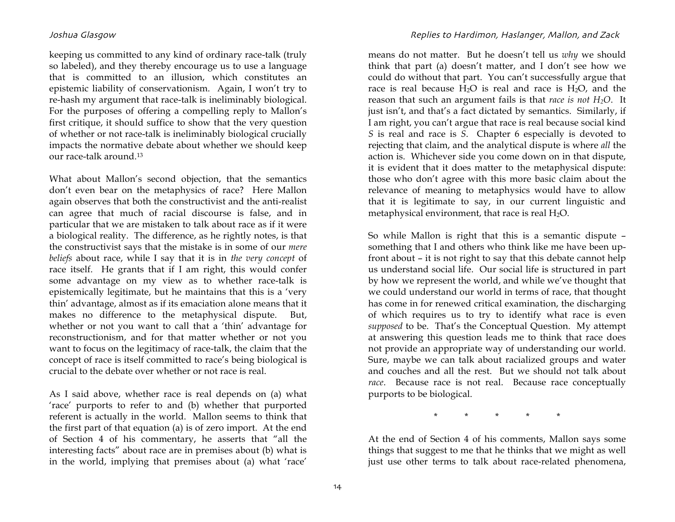keeping us committed to any kind of ordinary race-talk (truly so labeled), and they thereby encourage us to use a language that is committed to an illusion, which constitutes an epistemic liability of conservationism. Again, I won't try to re-hash my argument that race-talk is ineliminably biological. For the purposes of offering a compelling reply to Mallon's first critique, it should suffice to show that the very question of whether or not race-talk is ineliminably biological crucially impacts the normative debate about whether we should keep our race-talk around.13

What about Mallon's second objection, that the semantics don't even bear on the metaphysics of race? Here Mallon again observes that both the constructivist and the anti-realist can agree that much of racial discourse is false, and in particular that we are mistaken to talk about race as if it were a biological reality. The difference, as he rightly notes, is that the constructivist says that the mistake is in some of our *mere beliefs* about race, while I say that it is in *the very concept* of race itself. He grants that if I am right, this would confer some advantage on my view as to whether race-talk is epistemically legitimate, but he maintains that this is a 'very thin' advantage, almost as if its emaciation alone means that it makes no difference to the metaphysical dispute. But, whether or not you want to call that a 'thin' advantage for reconstructionism, and for that matter whether or not you want to focus on the legitimacy of race-talk, the claim that the concept of race is itself committed to race's being biological is crucial to the debate over whether or not race is real.

As I said above, whether race is real depends on (a) what 'race' purports to refer to and (b) whether that purported referent is actually in the world. Mallon seems to think that the first part of that equation (a) is of zero import. At the end of Section 4 of his commentary, he asserts that "all the interesting facts" about race are in premises about (b) what is in the world, implying that premises about (a) what 'race'

means do not matter. But he doesn't tell us *why* we should think that part (a) doesn't matter, and I don't see how we could do without that part. You can't successfully argue that race is real because  $H_2O$  is real and race is  $H_2O$ , and the reason that such an argument fails is that *race is not H2O*. It just isn't, and that's a fact dictated by semantics. Similarly, if I am right, you can't argue that race is real because social kind *S* is real and race is *S*. Chapter 6 especially is devoted to rejecting that claim, and the analytical dispute is where *all* the action is. Whichever side you come down on in that dispute, it is evident that it does matter to the metaphysical dispute: those who don't agree with this more basic claim about the relevance of meaning to metaphysics would have to allow that it is legitimate to say, in our current linguistic and metaphysical environment, that race is real  $H_2O$ .

So while Mallon is right that this is a semantic dispute – something that I and others who think like me have been upfront about – it is not right to say that this debate cannot help us understand social life. Our social life is structured in part by how we represent the world, and while we've thought that we could understand our world in terms of race, that thought has come in for renewed critical examination, the discharging of which requires us to try to identify what race is even *supposed* to be. That's the Conceptual Question. My attempt at answering this question leads me to think that race does not provide an appropriate way of understanding our world. Sure, maybe we can talk about racialized groups and water and couches and all the rest. But we should not talk about *race*. Because race is not real. Because race conceptually purports to be biological.

\* \* \* \* \*

At the end of Section 4 of his comments, Mallon says some things that suggest to me that he thinks that we might as well just use other terms to talk about race-related phenomena,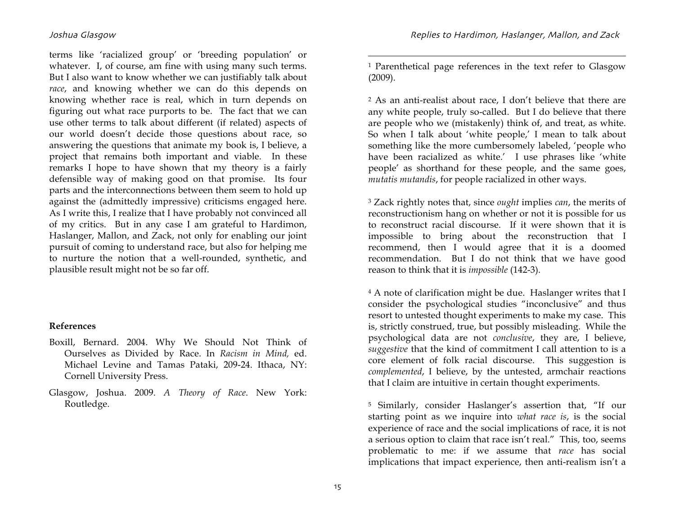terms like 'racialized group' or 'breeding population' or whatever. I, of course, am fine with using many such terms. But I also want to know whether we can justifiably talk about *race*, and knowing whether we can do this depends on knowing whether race is real, which in turn depends on figuring out what race purports to be. The fact that we can use other terms to talk about different (if related) aspects of our world doesn't decide those questions about race, so answering the questions that animate my book is, I believe, a project that remains both important and viable. In these remarks I hope to have shown that my theory is a fairly defensible way of making good on that promise. Its four parts and the interconnections between them seem to hold up against the (admittedly impressive) criticisms engaged here. As I write this, I realize that I have probably not convinced all of my critics. But in any case I am grateful to Hardimon, Haslanger, Mallon, and Zack, not only for enabling our joint pursuit of coming to understand race, but also for helping me to nurture the notion that a well-rounded, synthetic, and plausible result might not be so far off.

### **References**

- Boxill, Bernard. 2004. Why We Should Not Think of Ourselves as Divided by Race. In *Racism in Mind,* ed. Michael Levine and Tamas Pataki, 209-24. Ithaca, NY: Cornell University Press.
- Glasgow, Joshua. 2009. *A Theory of Race*. New York: Routledge.

1 Parenthetical page references in the text refer to Glasgow (2009).

2 As an anti-realist about race, I don't believe that there are any white people, truly so-called. But I do believe that there are people who we (mistakenly) think of, and treat, as white. So when I talk about 'white people,' I mean to talk about something like the more cumbersomely labeled, 'people who have been racialized as white.' I use phrases like 'white people' as shorthand for these people, and the same goes, *mutatis mutandis*, for people racialized in other ways.

3 Zack rightly notes that, since *ought* implies *can*, the merits of reconstructionism hang on whether or not it is possible for us to reconstruct racial discourse. If it were shown that it is impossible to bring about the reconstruction that I recommend, then I would agree that it is a doomed recommendation. But I do not think that we have good reason to think that it is *impossible* (142-3).

4 A note of clarification might be due. Haslanger writes that I consider the psychological studies "inconclusive" and thus resort to untested thought experiments to make my case. This is, strictly construed, true, but possibly misleading. While the psychological data are not *conclusive*, they are, I believe, *suggestive* that the kind of commitment I call attention to is a core element of folk racial discourse. This suggestion is *complemented*, I believe, by the untested, armchair reactions that I claim are intuitive in certain thought experiments.

5 Similarly, consider Haslanger's assertion that, "If our starting point as we inquire into *what race is*, is the social experience of race and the social implications of race, it is not a serious option to claim that race isn't real." This, too, seems problematic to me: if we assume that *race* has social implications that impact experience, then anti-realism isn't a

 $\overline{a}$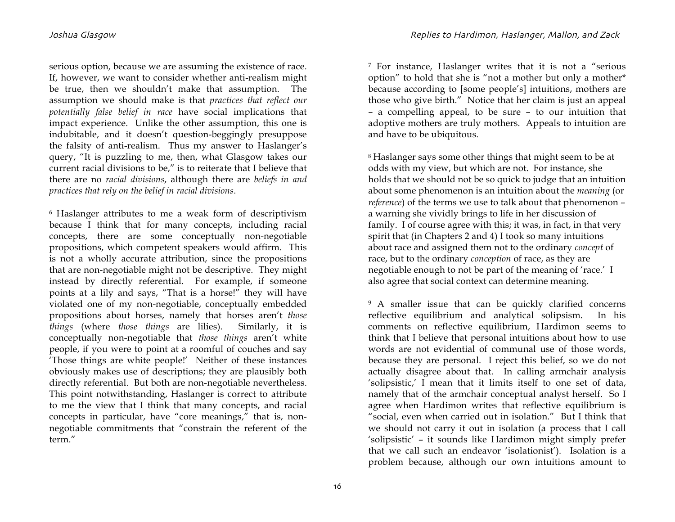1

serious option, because we are assuming the existence of race. If, however, we want to consider whether anti-realism might be true, then we shouldn't make that assumption. The assumption we should make is that *practices that reflect our potentially false belief in race* have social implications that impact experience. Unlike the other assumption, this one is indubitable, and it doesn't question-beggingly presuppose the falsity of anti-realism. Thus my answer to Haslanger's query, "It is puzzling to me, then, what Glasgow takes our current racial divisions to be," is to reiterate that I believe that there are no *racial divisions*, although there are *beliefs in and practices that rely on the belief in racial divisions*.

6 Haslanger attributes to me a weak form of descriptivism because I think that for many concepts, including racial concepts, there are some conceptually non-negotiable propositions, which competent speakers would affirm. This is not a wholly accurate attribution, since the propositions that are non-negotiable might not be descriptive. They might instead by directly referential. For example, if someone points at a lily and says, "That is a horse!" they will have violated one of my non-negotiable, conceptually embedded propositions about horses, namely that horses aren't *those things* (where *those things* are lilies). Similarly, it is conceptually non-negotiable that *those things* aren't white people, if you were to point at a roomful of couches and say 'Those things are white people!' Neither of these instances obviously makes use of descriptions; they are plausibly both directly referential. But both are non-negotiable nevertheless. This point notwithstanding, Haslanger is correct to attribute to me the view that I think that many concepts, and racial concepts in particular, have "core meanings," that is, nonnegotiable commitments that "constrain the referent of the term."

7 For instance, Haslanger writes that it is not a "serious option" to hold that she is "not a mother but only a mother\* because according to [some people's] intuitions, mothers are those who give birth." Notice that her claim is just an appeal – a compelling appeal, to be sure – to our intuition that adoptive mothers are truly mothers. Appeals to intuition are and have to be ubiquitous.

<sup>8</sup> Haslanger says some other things that might seem to be at odds with my view, but which are not. For instance, she holds that we should not be so quick to judge that an intuition about some phenomenon is an intuition about the *meaning* (or *reference*) of the terms we use to talk about that phenomenon – a warning she vividly brings to life in her discussion of family. I of course agree with this; it was, in fact, in that very spirit that (in Chapters 2 and 4) I took so many intuitions about race and assigned them not to the ordinary *concept* of race, but to the ordinary *conception* of race, as they are negotiable enough to not be part of the meaning of 'race.' I also agree that social context can determine meaning.

9 A smaller issue that can be quickly clarified concerns reflective equilibrium and analytical solipsism. In his comments on reflective equilibrium, Hardimon seems to think that I believe that personal intuitions about how to use words are not evidential of communal use of those words, because they are personal. I reject this belief, so we do not actually disagree about that. In calling armchair analysis 'solipsistic,' I mean that it limits itself to one set of data, namely that of the armchair conceptual analyst herself. So I agree when Hardimon writes that reflective equilibrium is "social, even when carried out in isolation." But I think that we should not carry it out in isolation (a process that I call 'solipsistic' – it sounds like Hardimon might simply prefer that we call such an endeavor 'isolationist'). Isolation is a problem because, although our own intuitions amount to

 $\overline{a}$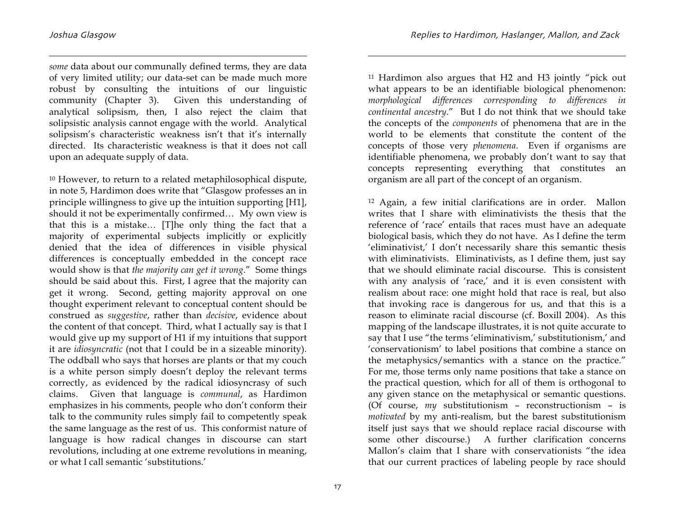1

*some* data about our communally defined terms, they are data of very limited utility; our data-set can be made much more robust by consulting the intuitions of our linguistic community (Chapter 3). Given this understanding of analytical solipsism, then, I also reject the claim that solipsistic analysis cannot engage with the world. Analytical solipsism's characteristic weakness isn't that it's internally directed. Its characteristic weakness is that it does not call upon an adequate supply of data.

10 However, to return to a related metaphilosophical dispute, in note 5, Hardimon does write that "Glasgow professes an in principle willingness to give up the intuition supporting [H1], should it not be experimentally confirmed… My own view is that this is a mistake… [T]he only thing the fact that a majority of experimental subjects implicitly or explicitly denied that the idea of differences in visible physical differences is conceptually embedded in the concept race would show is that *the majority can get it wrong*." Some things should be said about this. First, I agree that the majority can get it wrong. Second, getting majority approval on one thought experiment relevant to conceptual content should be construed as *suggestive*, rather than *decisive*, evidence about the content of that concept. Third, what I actually say is that I would give up my support of H1 if my intuitions that support it are *idiosyncratic* (not that I could be in a sizeable minority). The oddball who says that horses are plants or that my couch is a white person simply doesn't deploy the relevant terms correctly, as evidenced by the radical idiosyncrasy of such claims. Given that language is *communal*, as Hardimon emphasizes in his comments, people who don't conform their talk to the community rules simply fail to competently speak the same language as the rest of us. This conformist nature of language is how radical changes in discourse can start revolutions, including at one extreme revolutions in meaning, or what I call semantic 'substitutions.'

11 Hardimon also argues that H2 and H3 jointly "pick out what appears to be an identifiable biological phenomenon: *morphological differences corresponding to differences in continental ancestry*." But I do not think that we should take the concepts of the *components* of phenomena that are in the world to be elements that constitute the content of the concepts of those very *phenomena*. Even if organisms are identifiable phenomena, we probably don't want to say that concepts representing everything that constitutes an organism are all part of the concept of an organism.

12 Again, a few initial clarifications are in order. Mallon writes that I share with eliminativists the thesis that the reference of 'race' entails that races must have an adequate biological basis, which they do not have. As I define the term 'eliminativist,' I don't necessarily share this semantic thesis with eliminativists. Eliminativists, as I define them, just say that we should eliminate racial discourse. This is consistent with any analysis of 'race,' and it is even consistent with realism about race: one might hold that race is real, but also that invoking race is dangerous for us, and that this is a reason to eliminate racial discourse (cf. Boxill 2004). As this mapping of the landscape illustrates, it is not quite accurate to say that I use "the terms 'eliminativism,' substitutionism,' and 'conservationism' to label positions that combine a stance on the metaphysics/semantics with a stance on the practice." For me, those terms only name positions that take a stance on the practical question, which for all of them is orthogonal to any given stance on the metaphysical or semantic questions. (Of course, *my* substitutionism – reconstructionism – is *motivated* by my anti-realism, but the barest substitutionism itself just says that we should replace racial discourse with some other discourse.) A further clarification concerns Mallon's claim that I share with conservationists "the idea that our current practices of labeling people by race should

 $\overline{a}$